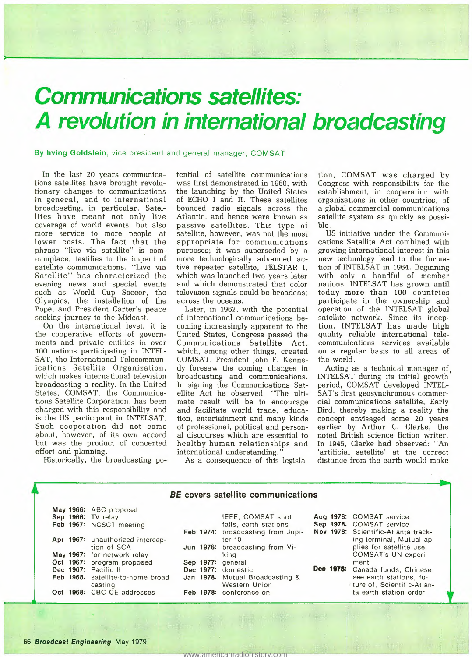## *Communications satellites: A revolution in international broadcasting*

By Irving Goldstein, vice president and general manager, COMSAT

In the last 20 years communications satellites have brought revolutionary changes to communications in general, and to international broadcasting, in particular. Satellites have meant not only live coverage of world events, but also more service to more people at lower costs. The fact that the phrase "live via satellite" is commonplace, testifies to the impact of satellite communications. "Live via Satellite" has characterized the evening news and special events such as World Cup Soccer, the Olympics, the installation of the Pope, and President Carter's peace seeking journey to the Mideast.

On the international level, it is the cooperative efforts of governments and private entities in over 100 nations participating in INTEL-SAT, the International Telecommunications Satellite Organization, which makes international television broadcasting a reality. In the United States, COMSAT, the Communications Satellite Corporation, has been charged with this responsibility and is the US participant in INTELSAT. Such cooperation did not come about, however, of its own accord but was the product of concerted effort and planning.

Historically, the broadcasting po-

tential of satellite communications was first demonstrated in 1960, with the launching by the United States of ECHO I and II. These satellites bounced radio signals across the Atlantic, and hence were known as passive satellites. This type of satellite, however, was not the most appropriate for communications purposes; it was superseded by a more technologically advanced active repeater satellite, TELSTAR I, which was launched two years later and which demonstrated that color television signals could be broadcast across the oceans.

Later, in 1962, with the potential of international communications becoming increasingly apparent to the United States, Congress passed the Communications Satellite Act, which, among other things, created COMSAT. President John F. Kennedy foresaw the coming changes in broadcasting and communications. In signing the Communications Satellite Act he observed: "The ultimate result will be to encourage and facilitate world trade, education, entertainment and many kinds of professional, political and personal discourses which are essential to healthy human relationships and international understanding."

tion, COMSAT was charged by Congress with responsibility for the establishment, in cooperation with organizations in other countries, of a global commercial communications satellite system as quickly as possible.

US initiative under the Communications Satellite Act combined with growing international interest in this new technology lead to the formation of INTELSAT in 1964. Beginning with only a handful of member nations, INTELSAT has grown until today more than 100 countries participate in the ownership and operation of the INTELSAT global satellite network. Since its inception, INTELSAT has made high quality reliable international telecommunications services available on a regular basis to all areas of the world.

Acting as a technical manager of, INTELSAT during its initial growth period, COMSAT developed INTEL-SAT's first geosynchronous commercial communications satellite, Early Bird, thereby making a reality the concept envisaged some 20 years earlier by Arthur C. Clarke, the noted British science fiction writer. In 1945, Clarke had observed: "An 'artificial satellite' at the correct distance from the earth would make

As a consequence of this legisla-

## *BE* covers satellite communications

|  | May 1966: ABC proposal             |  |                                   |  |                                     |
|--|------------------------------------|--|-----------------------------------|--|-------------------------------------|
|  | Sep 1966: TV relay                 |  | IEEE, COMSAT shot                 |  | Aug 1978: COMSAT service            |
|  | Feb 1967: NCSCT meeting            |  | fails, earth stations             |  | Sep 1978: COMSAT service            |
|  |                                    |  | Feb 1974: broadcasting from Jupi- |  | Nov 1978: Scientific-Atlanta track- |
|  | Apr 1967: unauthorized intercep-   |  | ter 10                            |  | ing terminal, Mutual ap-            |
|  | tion of SCA                        |  | Jun 1976: broadcasting from Vi-   |  | plies for satellite use.            |
|  | May 1967: for network relay        |  | king                              |  | COMSAT's UN experi                  |
|  | Oct 1967: program proposed         |  | Sep 1977: general                 |  | ment                                |
|  | Dec 1967: Pacific II               |  | Dec 1977: domestic                |  | Dec 1978: Canada funds, Chinese     |
|  | Feb 1968: satellite-to-home broad- |  | Jan 1978: Mutual Broadcasting &   |  | see earth stations, fu-             |
|  | casting                            |  | Western Union                     |  | ture of, Scientific-Atlan-          |
|  | Oct 1968: CBC CE addresses         |  | Feb 1978: conference on           |  | ta earth station order              |
|  |                                    |  |                                   |  |                                     |
|  |                                    |  |                                   |  |                                     |

<www.americanradiohistory.com>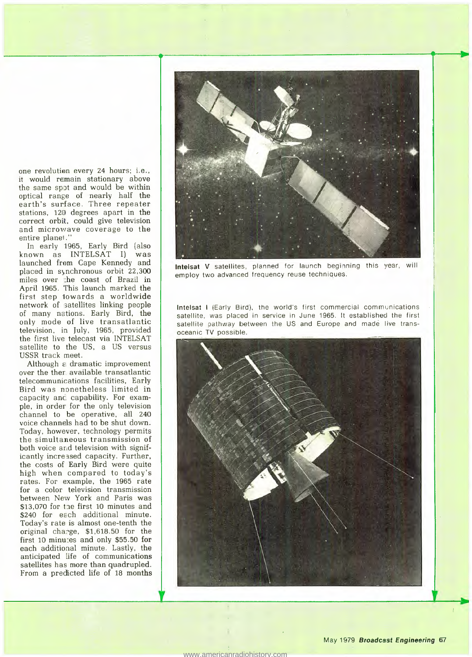one revolution every 24 hours; i.e., it would remain stationary above the same spot and would be within optical range of nearly half the earth's surface. Three repeater stations, 120 degrees apart in the correct orbit, could give television and microwave coverage to the entire planet."

In early 1965, Early Bird (also known as INTELSAT I) was launched from Cape Kennedy and placed in synchronous orbit 22,300 miles over ·:he coast of Brazil in April 1965. This launch marked the first step 1owards a worldwide network of satellites linking people of many nations. Early Bird, the only mode of live transatlantic television, in July, 1965, provided the first live telecast via INTELSAT satellite to the US, a US versus USSR track meet.

Although e dramatic improvement over the ther. available transatlantic telecommunications facilities, Early Bird was nonetheless limited in capacity and capability. For example, in order for the only television channel to be operative, all 240 voice channels had to be shut down. Today, however, technology permits the simultaneous transmission of both voice and television with significantly increased capacity. Further, the costs of Early Bird were quite high when compared to today's rates. For example, the 1965 rate for a color television transmission between New York and Paris was \$13,070 for the first 10 minutes and \$240 for each additional minute. Today's rate is almost one-tenth the original charge, \$1,618.50 for the first 10 minu:es and only \$55.50 for each additional minute. Lastly, the anticipated life of communications satellites has more than quadrupled. From a predicted life of 18 months



Intelsat V satellites, planned for launch beginning this year, will employ two advanced frequency reuse techniques.

Intelsat I (Early Bird), the world's first commercial communications satellite, was placed in service in June 1965. It established the first satellite pathway between the US and Europe and made live transoceanic TV possible.